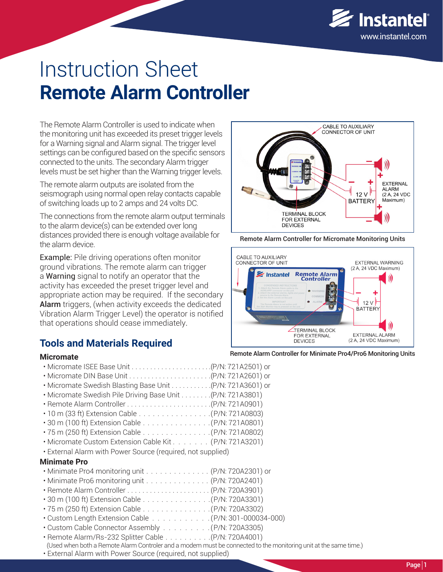

# Instruction Sheet **Remote Alarm Controller**

The Remote Alarm Controller is used to indicate when the monitoring unit has exceeded its preset trigger levels for a Warning signal and Alarm signal. The trigger level settings can be configured based on the specific sensors connected to the units. The secondary Alarm trigger levels must be set higher than the Warning trigger levels.

The remote alarm outputs are isolated from the seismograph using normal open relay contacts capable of switching loads up to 2 amps and 24 volts DC.

The connections from the remote alarm output terminals to the alarm device(s) can be extended over long distances provided there is enough voltage available for the alarm device.

Example: Pile driving operations often monitor ground vibrations. The remote alarm can trigger a Warning signal to notify an operator that the activity has exceeded the preset trigger level and appropriate action may be required. If the secondary Alarm triggers, (when activity exceeds the dedicated Vibration Alarm Trigger Level) the operator is notified that operations should cease immediately.

## **Tools and Materials Required**

#### **Micromate**

| . Micromate Swedish Blasting Base Unit 43601) or            |
|-------------------------------------------------------------|
| . Micromate Swedish Pile Driving Base Unit (P/N: 721A3801)  |
|                                                             |
|                                                             |
|                                                             |
| .75 m (250 ft) Extension Cable  (P/N: 721A0802)             |
| • Micromate Custom Extension Cable Kit. (P/N: 721A3201)     |
| • External Alarm with Power Source (required, not supplied) |
| <b>Minimate Pro</b>                                         |
| • Minimate Pro4 monitoring unit (P/N: 720A2301) or          |
| • Minimate Pro6 monitoring unit (P/N: 720A2401)             |
|                                                             |
| • 30 m (100 ft) Extension Cable (P/N: 720A3301)             |
|                                                             |
| • Custom Length Extension Cable (P/N·301-000034-0)          |

- $P/N: 301 000034 000$
- Custom Cable Connector Assembly . . . . . . . . . (P/N: 720A3305)
- *The World's Most Trusted Monitors Vibration · Noise · Air Overpressure* **www.instantel.com** (Used when both a Remote Alarm Controler and a modem must be connected to the monitoring unit at the same time.) • Remote Alarm/Rs-232 Splitter Cable . . . . . . . . . .(P/N: 720A4001)
	-
	- External Alarm with Power Source (required, not supplied)



Remote Alarm Controller for Micromate Monitoring Units



#### Remote Alarm Controller for Minimate Pro4/Pro6 Monitoring Units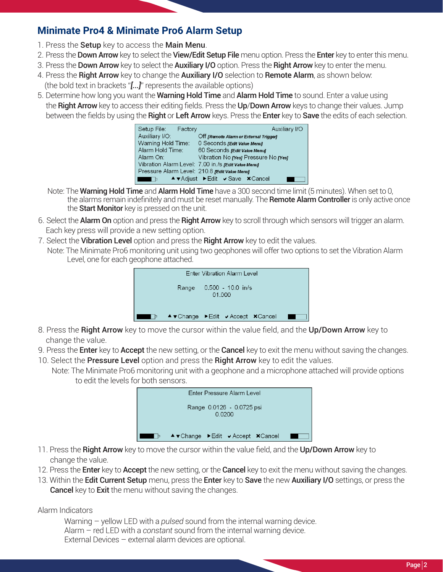## **Minimate Pro4 & Minimate Pro6 Alarm Setup**

- 1. Press the Setup key to access the Main Menu.
- 2. Press the **Down Arrow** key to select the **View/Edit Setup File** menu option. Press the **Enter** key to enter this menu.
- 3. Press the **Down Arrow** key to select the **Auxiliary I/O** option. Press the **Right Arrow** key to enter the menu.
- 4. Press the Right Arrow key to change the Auxiliary I/O selection to Remote Alarm, as shown below: (the bold text in brackets "*[...]*" represents the available options)
- 5. Determine how long you want the Warning Hold Time and Alarm Hold Time to sound. Enter a value using the Right Arrow key to access their editing fields. Press the Up/Down Arrow keys to change their values. Jump between the fields by using the Right or Left Arrow keys. Press the Enter key to Save the edits of each selection.

| Setup File: Factory                           | Auxiliary I/O                                       |
|-----------------------------------------------|-----------------------------------------------------|
| Auxiliary I/O:                                | Off [Remote Alarm or External Trigger]              |
| Warning Hold Time:                            | 0 Seconds redit Value Menul                         |
| Alarm Hold Time:                              | 60 Seconds redit Value Menul                        |
| Alarm On:                                     | Vibration No ryes Pressure No ryes                  |
|                                               | Vibration Alarm Level: 7.00 in./s redit Value Menul |
| Pressure Alarm Level: 210.8 redit Value Menul |                                                     |
|                                               | ▲ TAdjust ▶ Edit v Save × Cancel                    |

- Note: The **Warning Hold Time** and **Alarm Hold Time** have a 300 second time limit (5 minutes). When set to 0, the alarms remain indefinitely and must be reset manually. The Remote Alarm Controller is only active once the **Start Monitor** key is pressed on the unit.
- 6. Select the **Alarm On** option and press the **Right Arrow** key to scroll through which sensors will trigger an alarm. Each key press will provide a new setting option.
- 7. Select the Vibration Level option and press the Right Arrow key to edit the values.
	- Note: The Minimate Pro6 monitoring unit using two geophones will offer two options to set the Vibration Alarm Level, one for each geophone attached.



- 8. Press the Right Arrow key to move the cursor within the value field, and the Up/Down Arrow key to change the value.
- 9. Press the **Enter** key to **Accept** the new setting, or the **Cancel** key to exit the menu without saving the changes.
- 10. Select the **Pressure Level** option and press the **Right Arrow** key to edit the values.
- Note: The Minimate Pro6 monitoring unit with a geophone and a microphone attached will provide options to edit the levels for both sensors.



- 11. Press the Right Arrow key to move the cursor within the value field, and the Up/Down Arrow key to change the value.
- 12. Press the **Enter** key to **Accept** the new setting, or the **Cancel** key to exit the menu without saving the changes.
- 13. Within the Edit Current Setup menu, press the Enter key to Save the new Auxiliary I/O settings, or press the **Cancel** key to **Exit** the menu without saving the changes.

Alarm Indicators

Warning – yellow LED with a *pulsed* sound from the internal warning device. Alarm – red LED with a *constant* sound from the internal warning device. External Devices – external alarm devices are optional.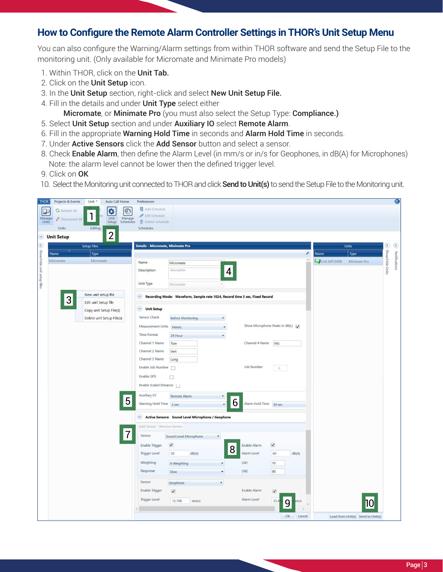#### **How to Configure the Remote Alarm Controller Settings in THOR's Unit Setup Menu**

You can also configure the Warning/Alarm settings from within THOR software and send the Setup File to the monitoring unit. (Only available for Micromate and Minimate Pro models)

- 1. Within THOR, click on the Unit Tab.
- 2. Click on the Unit Setup icon.
- 3. In the Unit Setup section, right-click and select New Unit Setup File.
- 4. Fill in the details and under Unit Type select either

Micromate, or Minimate Pro (you must also select the Setup Type: Compliance.)

- 5. Select Unit Setup section and under Auxiliary IO select Remote Alarm.
- 6. Fill in the appropriate Warning Hold Time in seconds and Alarm Hold Time in seconds.
- 7. Under Active Sensors click the Add Sensor button and select a sensor.
- 8. Check **Enable Alarm**, then define the Alarm Level (in mm/s or in/s for Geophones, in dB(A) for Microphones) Note: the alarm level cannot be lower then the defined trigger level.
- 9. Click on OK
- 10. Select the Monitoring unit connected to THOR and click **Send to Unit(s)** to send the Setup File to the Monitoring unit.

| <b>THOR</b>                       | Projects & Events    | Unit *                    | Auto Call Home |            | Preferences                       |                                                                             |                      |                                                        |                      |              |   |              |                                   |                        | $\bullet$     |
|-----------------------------------|----------------------|---------------------------|----------------|------------|-----------------------------------|-----------------------------------------------------------------------------|----------------------|--------------------------------------------------------|----------------------|--------------|---|--------------|-----------------------------------|------------------------|---------------|
| $\Box$                            | <b>G</b> Refresh All |                           | $\bullet$      | $\bigcirc$ | <b>Add Schedule</b>               |                                                                             |                      |                                                        |                      |              |   |              |                                   |                        |               |
| Manage<br>Units                   | Disconnect All       |                           | Unit           | Manage     | Edit Schedule                     |                                                                             |                      |                                                        |                      |              |   |              |                                   |                        |               |
|                                   | Units                | Editing                   | Setup          | Schedules  | Delete Schedule<br>Schedules      |                                                                             |                      |                                                        |                      |              |   |              |                                   |                        |               |
| $\vee$                            | <b>Unit Setup</b>    |                           | $\overline{2}$ |            |                                   |                                                                             |                      |                                                        |                      |              |   |              |                                   |                        |               |
|                                   |                      |                           |                |            |                                   |                                                                             |                      |                                                        |                      |              |   |              |                                   |                        |               |
|                                   |                      | <b>Setup Files</b>        |                |            | Details - Micromate, Minimate Pro |                                                                             |                      |                                                        |                      |              | i | Name         | Units                             | $\sim$ Show/Hide Units | $\left($      |
|                                   | Name<br>Micromate    | Type<br>Micromate         |                |            |                                   |                                                                             |                      |                                                        |                      |              |   | Unit MP13908 | Type<br>Minimate Pro              |                        |               |
|                                   |                      |                           |                |            | Name                              | Micromate                                                                   |                      |                                                        |                      |              |   |              |                                   |                        | Notifications |
| $\sim$ Show/Hide unit setup files |                      |                           |                |            | <b>Description</b>                | Description                                                                 | 4                    |                                                        |                      |              |   |              |                                   |                        |               |
|                                   |                      |                           |                |            | <b>Unit Type</b>                  | Micromate                                                                   |                      |                                                        |                      |              |   |              |                                   |                        |               |
|                                   |                      | New unit setup file       |                |            |                                   |                                                                             |                      |                                                        |                      |              |   |              |                                   |                        |               |
|                                   | 3                    | Edit unit Setup file      |                |            | $\vee$                            | Recording Mode: Waveform, Sample rate 1024, Record time 3 sec, Fixed Record |                      |                                                        |                      |              |   |              |                                   |                        |               |
|                                   |                      | Copy unit Setup File(s)   |                |            | built Setup                       |                                                                             |                      |                                                        |                      |              |   |              |                                   |                        |               |
|                                   |                      | Delete unit Setup File(s) |                |            | Sensor Check                      | <b>Before Monitoring</b>                                                    |                      |                                                        |                      |              |   |              |                                   |                        |               |
|                                   |                      |                           |                |            | Measurement Units                 | Metric                                                                      | ۰                    | Show Microphone Peaks in dB(L) $\overline{\mathbf{v}}$ |                      |              |   |              |                                   |                        |               |
|                                   |                      |                           |                |            | <b>Time Format</b>                | 24 Hour                                                                     | $\blacktriangledown$ |                                                        |                      |              |   |              |                                   |                        |               |
|                                   |                      |                           |                |            | Channel 1 Name                    | Tran                                                                        |                      | Channel 4 Name                                         | Mic                  |              |   |              |                                   |                        |               |
|                                   |                      |                           |                |            | Channel 2 Name                    | Vert                                                                        |                      |                                                        |                      |              |   |              |                                   |                        |               |
|                                   |                      |                           |                |            | Channel 3 Name                    | Long                                                                        |                      |                                                        |                      |              |   |              |                                   |                        |               |
|                                   |                      |                           |                |            | Enable Job Number                 |                                                                             |                      | <b>Job Number</b>                                      | $\circ$              |              |   |              |                                   |                        |               |
|                                   |                      |                           |                |            | Enable GPS                        | $\Box$                                                                      |                      |                                                        |                      |              |   |              |                                   |                        |               |
|                                   |                      |                           |                |            | Enable Scaled Distance            |                                                                             |                      |                                                        |                      |              |   |              |                                   |                        |               |
|                                   |                      |                           |                |            | Auxiliary IO                      | Remote Alarm                                                                |                      |                                                        |                      |              |   |              |                                   |                        |               |
|                                   |                      |                           |                | 5          | Warning Hold Time 2 sec           |                                                                             | 6                    | Alarm Hold Time 30 sec                                 |                      |              |   |              |                                   |                        |               |
|                                   |                      |                           |                |            |                                   |                                                                             |                      |                                                        |                      |              |   |              |                                   |                        |               |
|                                   |                      |                           |                |            |                                   | Active Sensors: Sound Level Microphone / Geophone                           |                      |                                                        |                      |              |   |              |                                   |                        |               |
|                                   |                      |                           |                |            | Add Sensor Remove Sensor          |                                                                             |                      |                                                        |                      |              |   |              |                                   |                        |               |
|                                   |                      |                           |                |            | Sensor                            | Sound Level Microphone                                                      | $\blacktriangledown$ |                                                        |                      |              |   |              |                                   |                        |               |
|                                   |                      |                           |                |            | <b>Enable Trigger</b>             | $\blacktriangledown$                                                        |                      | Enable Alarm                                           | $\blacktriangledown$ |              |   |              |                                   |                        |               |
|                                   |                      |                           |                |            | <b>Trigger Level</b>              | 50<br>dB(A)                                                                 | 8                    | Alarm Level                                            | 60                   | dB(A)        |   |              |                                   |                        |               |
|                                   |                      |                           |                |            | Weighting                         | A Weighting                                                                 | ۳                    | LN1                                                    | 10                   |              |   |              |                                   |                        |               |
|                                   |                      |                           |                |            | Response                          | Slow                                                                        | ۰                    | LN <sub>2</sub>                                        | 90                   |              |   |              |                                   |                        |               |
|                                   |                      |                           |                |            | Sensor                            | Geophone                                                                    | ۰                    |                                                        |                      |              |   |              |                                   |                        |               |
|                                   |                      |                           |                |            | <b>Enable Trigger</b>             | $\blacktriangledown$                                                        |                      | Enable Alarm                                           | $\blacktriangledown$ |              |   |              |                                   |                        |               |
|                                   |                      |                           |                |            | <b>Trigger Level</b>              | 12.700                                                                      |                      | Alarm Level                                            |                      |              |   |              |                                   |                        |               |
|                                   |                      |                           |                |            |                                   | mm/s                                                                        |                      |                                                        | 25.4                 | m/s<br>9     |   |              |                                   |                        |               |
|                                   |                      |                           |                |            |                                   |                                                                             |                      |                                                        |                      | OK<br>Cancel |   |              | Load from Unit(s) Send to Unit(s) |                        |               |